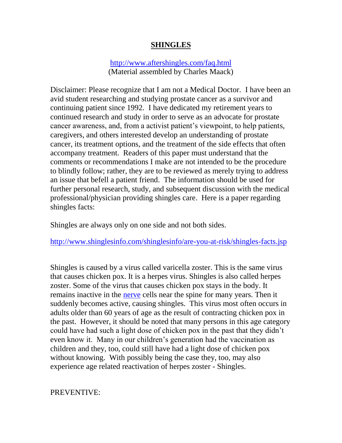### **SHINGLES**

#### <http://www.aftershingles.com/faq.html> (Material assembled by Charles Maack)

Disclaimer: Please recognize that I am not a Medical Doctor. I have been an avid student researching and studying prostate cancer as a survivor and continuing patient since 1992. I have dedicated my retirement years to continued research and study in order to serve as an advocate for prostate cancer awareness, and, from a activist patient's viewpoint, to help patients, caregivers, and others interested develop an understanding of prostate cancer, its treatment options, and the treatment of the side effects that often accompany treatment. Readers of this paper must understand that the comments or recommendations I make are not intended to be the procedure to blindly follow; rather, they are to be reviewed as merely trying to address an issue that befell a patient friend. The information should be used for further personal research, study, and subsequent discussion with the medical professional/physician providing shingles care. Here is a paper regarding shingles facts:

Shingles are always only on one side and not both sides.

<http://www.shinglesinfo.com/shinglesinfo/are-you-at-risk/shingles-facts.jsp>

Shingles is caused by a virus called varicella zoster. This is the same virus that causes chicken pox. It is a herpes virus. Shingles is also called herpes zoster. Some of the virus that causes chicken pox stays in the body. It remains inactive in the [nerve](http://www.aftershingles.com/glossary.html#nerve) cells near the spine for many years. Then it suddenly becomes active, causing shingles. This virus most often occurs in adults older than 60 years of age as the result of contracting chicken pox in the past. However, it should be noted that many persons in this age category could have had such a light dose of chicken pox in the past that they didn't even know it. Many in our children's generation had the vaccination as children and they, too, could still have had a light dose of chicken pox without knowing. With possibly being the case they, too, may also experience age related reactivation of herpes zoster - Shingles.

#### PREVENTIVE: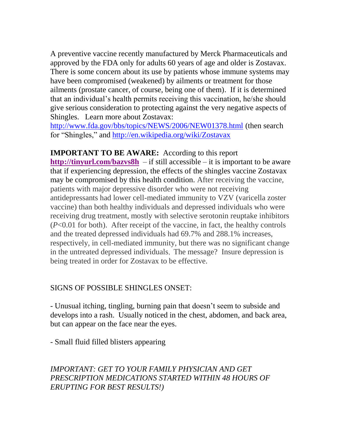A preventive vaccine recently manufactured by Merck Pharmaceuticals and approved by the FDA only for adults 60 years of age and older is Zostavax. There is some concern about its use by patients whose immune systems may have been compromised (weakened) by ailments or treatment for those ailments (prostate cancer, of course, being one of them). If it is determined that an individual's health permits receiving this vaccination, he/she should give serious consideration to protecting against the very negative aspects of Shingles. Learn more about Zostavax:

<http://www.fda.gov/bbs/topics/NEWS/2006/NEW01378.html> (then search for "Shingles," and<http://en.wikipedia.org/wiki/Zostavax>

**IMPORTANT TO BE AWARE:** According to this report **<http://tinyurl.com/bazvs8h>** – if still accessible – it is important to be aware that if experiencing depression, the effects of the shingles vaccine Zostavax may be compromised by this health condition. After receiving the vaccine, patients with major depressive disorder who were not receiving antidepressants had lower cell-mediated immunity to VZV (varicella zoster vaccine) than both healthy individuals and depressed individuals who were receiving drug treatment, mostly with selective serotonin reuptake inhibitors (*P*<0.01 for both). After receipt of the vaccine, in fact, the healthy controls and the treated depressed individuals had 69.7% and 288.1% increases, respectively, in cell-mediated immunity, but there was no significant change in the untreated depressed individuals, The message? Insure depression is being treated in order for Zostavax to be effective.

### SIGNS OF POSSIBLE SHINGLES ONSET:

- Unusual itching, tingling, burning pain that doesn't seem to subside and develops into a rash. Usually noticed in the chest, abdomen, and back area, but can appear on the face near the eyes.

- Small fluid filled blisters appearing

# *IMPORTANT: GET TO YOUR FAMILY PHYSICIAN AND GET PRESCRIPTION MEDICATIONS STARTED WITHIN 48 HOURS OF ERUPTING FOR BEST RESULTS!)*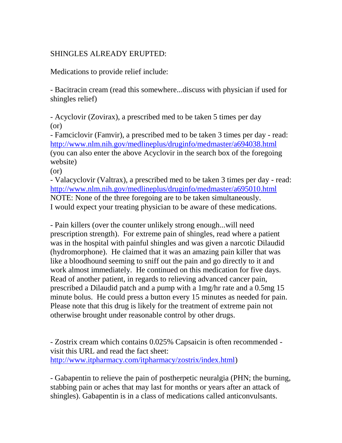# SHINGLES ALREADY ERUPTED:

Medications to provide relief include:

- Bacitracin cream (read this somewhere...discuss with physician if used for shingles relief)

- Acyclovir (Zovirax), a prescribed med to be taken 5 times per day (or)

- Famciclovir (Famvir), a prescribed med to be taken 3 times per day - read: <http://www.nlm.nih.gov/medlineplus/druginfo/medmaster/a694038.html> (you can also enter the above Acyclovir in the search box of the foregoing website)

(or)

- Valacyclovir (Valtrax), a prescribed med to be taken 3 times per day - read: <http://www.nlm.nih.gov/medlineplus/druginfo/medmaster/a695010.html> NOTE: None of the three foregoing are to be taken simultaneously. I would expect your treating physician to be aware of these medications.

- Pain killers (over the counter unlikely strong enough...will need prescription strength). For extreme pain of shingles, read where a patient was in the hospital with painful shingles and was given a narcotic Dilaudid (hydromorphone). He claimed that it was an amazing pain killer that was like a bloodhound seeming to sniff out the pain and go directly to it and work almost immediately. He continued on this medication for five days. Read of another patient, in regards to relieving advanced cancer pain, prescribed a Dilaudid patch and a pump with a 1mg/hr rate and a 0.5mg 15 minute bolus. He could press a button every 15 minutes as needed for pain. Please note that this drug is likely for the treatment of extreme pain not otherwise brought under reasonable control by other drugs.

- Zostrix cream which contains 0.025% Capsaicin is often recommended visit this URL and read the fact sheet: [http://www.itpharmacy.com/itpharmacy/zostrix/index.html\)](http://www.itpharmacy.com/itpharmacy/zostrix/index.html)

- Gabapentin to relieve the pain of postherpetic neuralgia (PHN; the burning, stabbing pain or aches that may last for months or years after an attack of shingles). Gabapentin is in a class of medications called anticonvulsants.